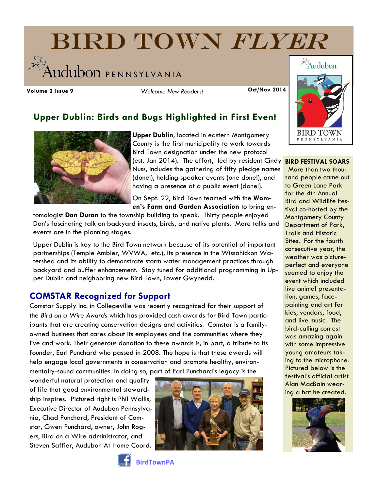# BIRD TOWN FLYER **Ludubon** PENNSYLVANIA

**Volume 2 Issue 9 Oct/Nov 2014** *Welcome New Readers!*

# **Upper Dublin: Birds and Bugs Highlighted in First Event**



**Upper Dublin**, located in eastern Montgomery County is the first municipality to work towards Bird Town designation under the new protocol (est. Jan 2014). The effort, led by resident Cindy Nuss, includes the gathering of fifty pledge names (done!), holding speaker events (one done!), and having a presence at a public event (done!).

On Sept. 22, Bird Town teamed with the **Women's Farm and Garden Association** to bring en-

tomologist **Dan Duran** to the township building to speak. Thirty people enjoyed Dan's fascinating talk on backyard insects, birds, and native plants. More talks and events are in the planning stages.

Upper Dublin is key to the Bird Town network because of its potential of important partnerships (Temple Ambler, WVWA, etc.), its presence in the Wissahickon Watershed and its ability to demonstrate storm water management practices through backyard and buffer enhancement. Stay tuned for additional programming in Upper Dublin and neighboring new Bird Town, Lower Gwynedd.

## **COMSTAR Recognized for Support**

Comstar Supply Inc. in Collegeville was recently recognized for their support of the *Bird on a Wire Awards* which has provided cash awards for Bird Town participants that are creating conservation designs and activities. Comstar is a familyowned business that cares about its employees and the communities where they live and work. Their generous donation to these awards is, in part, a tribute to its founder, Earl Punchard who passed in 2008. The hope is that these awards will help engage local governments in conservation and promote healthy, environmentally-sound communities. In doing so, part of Earl Punchard's legacy is the

wonderful natural protection and quality of life that good environmental stewardship inspires. Pictured right is Phil Wallis, Executive Director of Audubon Pennsylvania, Chad Punchard, President of Comstar, Gwen Punchard, owner, John Rogers, Bird on a Wire administrator, and Steven Saffier, Audubon At Home Coord.





#### **BIRD FESTIVAL SOARS**

More than two thousand people came out to Green Lane Park for the 4th Annual Bird and Wildlife Festival co-hosted by the Montgomery County Department of Park, Trails and Historic Sites. For the fourth consecutive year, the weather was pictureperfect and everyone seemed to enjoy the event which included live animal presentation, games, facepainting and art for kids, vendors, food, and live music. The bird-calling contest was amazing again with some impressive young amateurs taking to the microphone. Pictured below is the festival's official artist Alan MacBain wearing a hat he created.